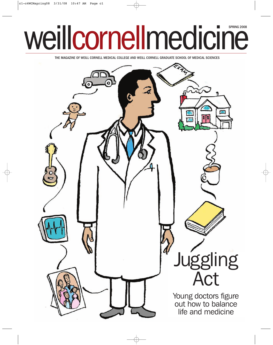## weillcornellmedicine

THE MAGAZINE OF WEILL CORNELL MEDICAL COLLEGE AND WEILL CORNELL GRADUATE SCHOOL OF MEDICAL SCIENCES

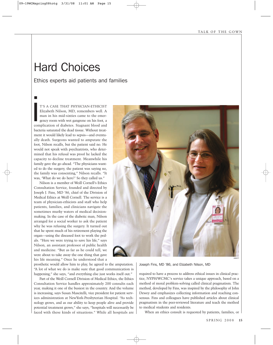## Hard Choices

Ethics experts aid patients and families

T'S A CASE THAT PHYSICIAN-ETHICIST Elizabeth Nilson, MD, remembers well. A man in his mid-sixties came to the emergency room with wet gangrene on his foot, a complication of diabetes. Stagnant blood and bacteria saturated the dead tissue. Without treatment it would likely lead to sepsis—and eventually death. Surgeons wanted to amputate the foot, Nilson recalls, but the patient said no. He would not speak with psychiatrists, who determined that his refusal was proof he lacked the capacity to decline treatment. Meanwhile his family gave the go-ahead. "The physicians wanted to do the surgery, the patient was saying no, the family was consenting," Nilson recalls. "It was, 'What do we do here?' So they called us." **i** 

Nilson is a member of Weill Cornell's Ethics Consultation Service, founded and directed by Joseph J. Fins, MD '86, chief of the Division of Medical Ethics at Weill Cornell. The service is a team of physician-ethicists and staff who help patients, families, and clinicians navigate the sometimes murky waters of medical decisionmaking. In the case of the diabetic man, Nilson arranged for a social worker to ask the patient why he was refusing the surgery. It turned out that he spent much of his retirement playing the organ—using the diseased foot to work the pedals. "Here we were trying to save his life," says Nilson, an assistant professor of public health and medicine. "But as far as he could tell, we were about to take away the one thing that gave his life meaning." Once he understood that a

prosthetic would allow him to play, he agreed to the amputation. "A lot of what we do is make sure that good communication is happening," she says, "and everything else just works itself out."

Part of the Weill Cornell Division of Medical Ethics, the Ethics Consultation Service handles approximately 200 consults each year, making it one of the busiest in the country. And the volume is increasing, says Susan Mascitelli, vice president for patient services administration at NewYork-Presbyterian Hospital. "As technology grows, and as our ability to keep people alive and provide potential treatment grows," she says, "hospitals will necessarily be faced with these kinds of situations." While all hospitals are



Joseph Fins, MD '86, and Elizabeth Nilson, MD

required to have a process to address ethical issues in clinical practice, NYPH/WCMC's service takes a unique approach, based on a method of moral problem-solving called clinical pragmatism. The method, developed by Fins, was inspired by the philosophy of John Dewey and emphasizes collecting information and reaching consensus. Fins and colleagues have published articles about clinical pragmatism in the peer-reviewed literature and teach the method to medical students and residents.

When an ethics consult is requested by patients, families, or